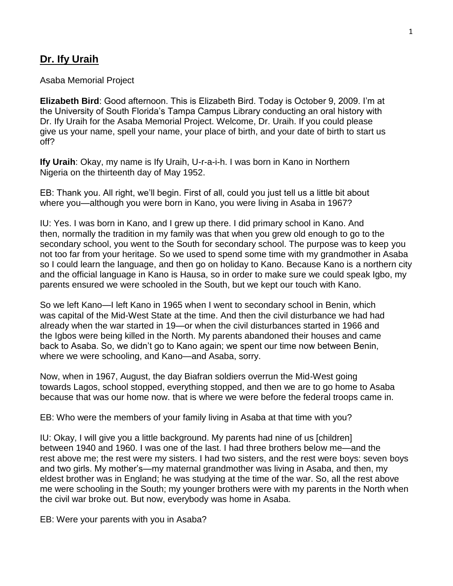# **Dr. Ify Uraih**

#### Asaba Memorial Project

**Elizabeth Bird**: Good afternoon. This is Elizabeth Bird. Today is October 9, 2009. I'm at the University of South Florida's Tampa Campus Library conducting an oral history with Dr. Ify Uraih for the Asaba Memorial Project. Welcome, Dr. Uraih. If you could please give us your name, spell your name, your place of birth, and your date of birth to start us off?

**Ify Uraih**: Okay, my name is Ify Uraih, U-r-a-i-h. I was born in Kano in Northern Nigeria on the thirteenth day of May 1952.

EB: Thank you. All right, we'll begin. First of all, could you just tell us a little bit about where you—although you were born in Kano, you were living in Asaba in 1967?

IU: Yes. I was born in Kano, and I grew up there. I did primary school in Kano. And then, normally the tradition in my family was that when you grew old enough to go to the secondary school, you went to the South for secondary school. The purpose was to keep you not too far from your heritage. So we used to spend some time with my grandmother in Asaba so I could learn the language, and then go on holiday to Kano. Because Kano is a northern city and the official language in Kano is Hausa, so in order to make sure we could speak Igbo, my parents ensured we were schooled in the South, but we kept our touch with Kano.

So we left Kano—I left Kano in 1965 when I went to secondary school in Benin, which was capital of the Mid-West State at the time. And then the civil disturbance we had had already when the war started in 19—or when the civil disturbances started in 1966 and the Igbos were being killed in the North. My parents abandoned their houses and came back to Asaba. So, we didn't go to Kano again; we spent our time now between Benin, where we were schooling, and Kano—and Asaba, sorry.

Now, when in 1967, August, the day Biafran soldiers overrun the Mid-West going towards Lagos, school stopped, everything stopped, and then we are to go home to Asaba because that was our home now. that is where we were before the federal troops came in.

EB: Who were the members of your family living in Asaba at that time with you?

IU: Okay, I will give you a little background. My parents had nine of us [children] between 1940 and 1960. I was one of the last. I had three brothers below me—and the rest above me; the rest were my sisters. I had two sisters, and the rest were boys: seven boys and two girls. My mother's—my maternal grandmother was living in Asaba, and then, my eldest brother was in England; he was studying at the time of the war. So, all the rest above me were schooling in the South; my younger brothers were with my parents in the North when the civil war broke out. But now, everybody was home in Asaba.

EB: Were your parents with you in Asaba?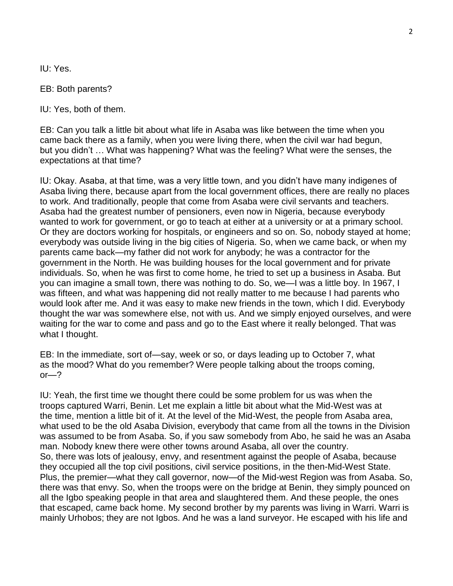IU: Yes.

EB: Both parents?

IU: Yes, both of them.

EB: Can you talk a little bit about what life in Asaba was like between the time when you came back there as a family, when you were living there, when the civil war had begun, but you didn't … What was happening? What was the feeling? What were the senses, the expectations at that time?

IU: Okay. Asaba, at that time, was a very little town, and you didn't have many indigenes of Asaba living there, because apart from the local government offices, there are really no places to work. And traditionally, people that come from Asaba were civil servants and teachers. Asaba had the greatest number of pensioners, even now in Nigeria, because everybody wanted to work for government, or go to teach at either at a university or at a primary school. Or they are doctors working for hospitals, or engineers and so on. So, nobody stayed at home; everybody was outside living in the big cities of Nigeria. So, when we came back, or when my parents came back—my father did not work for anybody; he was a contractor for the government in the North. He was building houses for the local government and for private individuals. So, when he was first to come home, he tried to set up a business in Asaba. But you can imagine a small town, there was nothing to do. So, we—I was a little boy. In 1967, I was fifteen, and what was happening did not really matter to me because I had parents who would look after me. And it was easy to make new friends in the town, which I did. Everybody thought the war was somewhere else, not with us. And we simply enjoyed ourselves, and were waiting for the war to come and pass and go to the East where it really belonged. That was what I thought.

EB: In the immediate, sort of—say, week or so, or days leading up to October 7, what as the mood? What do you remember? Were people talking about the troops coming,  $or -?$ 

IU: Yeah, the first time we thought there could be some problem for us was when the troops captured Warri, Benin. Let me explain a little bit about what the Mid-West was at the time, mention a little bit of it. At the level of the Mid-West, the people from Asaba area, what used to be the old Asaba Division, everybody that came from all the towns in the Division was assumed to be from Asaba. So, if you saw somebody from Abo, he said he was an Asaba man. Nobody knew there were other towns around Asaba, all over the country. So, there was lots of jealousy, envy, and resentment against the people of Asaba, because they occupied all the top civil positions, civil service positions, in the then-Mid-West State. Plus, the premier—what they call governor, now—of the Mid-west Region was from Asaba. So, there was that envy. So, when the troops were on the bridge at Benin, they simply pounced on all the Igbo speaking people in that area and slaughtered them. And these people, the ones that escaped, came back home. My second brother by my parents was living in Warri. Warri is mainly Urhobos; they are not Igbos. And he was a land surveyor. He escaped with his life and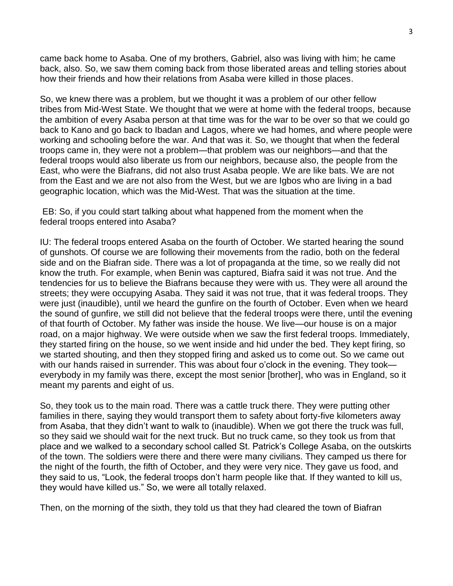came back home to Asaba. One of my brothers, Gabriel, also was living with him; he came back, also. So, we saw them coming back from those liberated areas and telling stories about how their friends and how their relations from Asaba were killed in those places.

So, we knew there was a problem, but we thought it was a problem of our other fellow tribes from Mid-West State. We thought that we were at home with the federal troops, because the ambition of every Asaba person at that time was for the war to be over so that we could go back to Kano and go back to Ibadan and Lagos, where we had homes, and where people were working and schooling before the war. And that was it. So, we thought that when the federal troops came in, they were not a problem—that problem was our neighbors—and that the federal troops would also liberate us from our neighbors, because also, the people from the East, who were the Biafrans, did not also trust Asaba people. We are like bats. We are not from the East and we are not also from the West, but we are Igbos who are living in a bad geographic location, which was the Mid-West. That was the situation at the time.

EB: So, if you could start talking about what happened from the moment when the federal troops entered into Asaba?

IU: The federal troops entered Asaba on the fourth of October. We started hearing the sound of gunshots. Of course we are following their movements from the radio, both on the federal side and on the Biafran side. There was a lot of propaganda at the time, so we really did not know the truth. For example, when Benin was captured, Biafra said it was not true. And the tendencies for us to believe the Biafrans because they were with us. They were all around the streets; they were occupying Asaba. They said it was not true, that it was federal troops. They were just (inaudible), until we heard the gunfire on the fourth of October. Even when we heard the sound of gunfire, we still did not believe that the federal troops were there, until the evening of that fourth of October. My father was inside the house. We live—our house is on a major road, on a major highway. We were outside when we saw the first federal troops. Immediately, they started firing on the house, so we went inside and hid under the bed. They kept firing, so we started shouting, and then they stopped firing and asked us to come out. So we came out with our hands raised in surrender. This was about four o'clock in the evening. They took everybody in my family was there, except the most senior [brother], who was in England, so it meant my parents and eight of us.

So, they took us to the main road. There was a cattle truck there. They were putting other families in there, saying they would transport them to safety about forty-five kilometers away from Asaba, that they didn't want to walk to (inaudible). When we got there the truck was full, so they said we should wait for the next truck. But no truck came, so they took us from that place and we walked to a secondary school called St. Patrick's College Asaba, on the outskirts of the town. The soldiers were there and there were many civilians. They camped us there for the night of the fourth, the fifth of October, and they were very nice. They gave us food, and they said to us, "Look, the federal troops don't harm people like that. If they wanted to kill us, they would have killed us." So, we were all totally relaxed.

Then, on the morning of the sixth, they told us that they had cleared the town of Biafran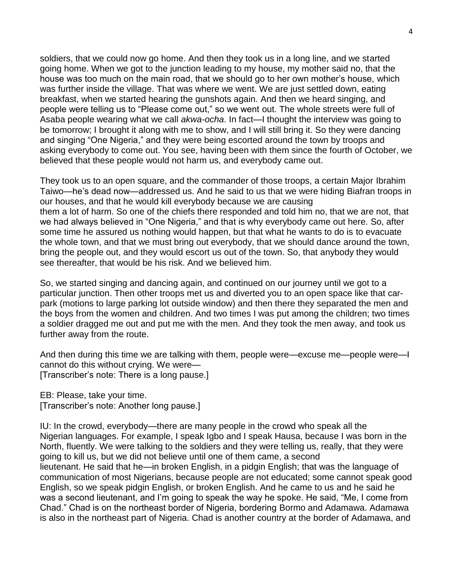soldiers, that we could now go home. And then they took us in a long line, and we started going home. When we got to the junction leading to my house, my mother said no, that the house was too much on the main road, that we should go to her own mother's house, which was further inside the village. That was where we went. We are just settled down, eating breakfast, when we started hearing the gunshots again. And then we heard singing, and people were telling us to "Please come out," so we went out. The whole streets were full of Asaba people wearing what we call *akwa-ocha*. In fact—I thought the interview was going to be tomorrow; I brought it along with me to show, and I will still bring it. So they were dancing and singing "One Nigeria," and they were being escorted around the town by troops and asking everybody to come out. You see, having been with them since the fourth of October, we believed that these people would not harm us, and everybody came out.

They took us to an open square, and the commander of those troops, a certain Major Ibrahim Taiwo—he's dead now—addressed us. And he said to us that we were hiding Biafran troops in our houses, and that he would kill everybody because we are causing them a lot of harm. So one of the chiefs there responded and told him no, that we are not, that we had always believed in "One Nigeria," and that is why everybody came out here. So, after some time he assured us nothing would happen, but that what he wants to do is to evacuate the whole town, and that we must bring out everybody, that we should dance around the town, bring the people out, and they would escort us out of the town. So, that anybody they would see thereafter, that would be his risk. And we believed him.

So, we started singing and dancing again, and continued on our journey until we got to a particular junction. Then other troops met us and diverted you to an open space like that carpark (motions to large parking lot outside window) and then there they separated the men and the boys from the women and children. And two times I was put among the children; two times a soldier dragged me out and put me with the men. And they took the men away, and took us further away from the route.

And then during this time we are talking with them, people were—excuse me—people were—I cannot do this without crying. We were— [Transcriber's note: There is a long pause.]

EB: Please, take your time. [Transcriber's note: Another long pause.]

IU: In the crowd, everybody—there are many people in the crowd who speak all the Nigerian languages. For example, I speak Igbo and I speak Hausa, because I was born in the North, fluently. We were talking to the soldiers and they were telling us, really, that they were going to kill us, but we did not believe until one of them came, a second lieutenant. He said that he—in broken English, in a pidgin English; that was the language of communication of most Nigerians, because people are not educated; some cannot speak good English, so we speak pidgin English, or broken English. And he came to us and he said he was a second lieutenant, and I'm going to speak the way he spoke. He said, "Me, I come from Chad." Chad is on the northeast border of Nigeria, bordering Bormo and Adamawa. Adamawa is also in the northeast part of Nigeria. Chad is another country at the border of Adamawa, and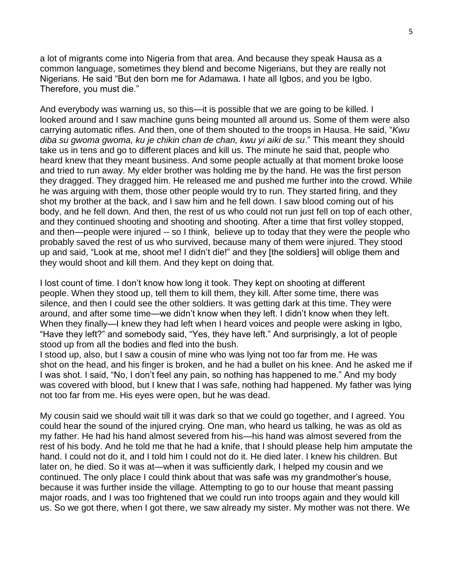a lot of migrants come into Nigeria from that area. And because they speak Hausa as a common language, sometimes they blend and become Nigerians, but they are really not Nigerians. He said "But den born me for Adamawa. I hate all Igbos, and you be Igbo. Therefore, you must die."

And everybody was warning us, so this—it is possible that we are going to be killed. I looked around and I saw machine guns being mounted all around us. Some of them were also carrying automatic rifles. And then, one of them shouted to the troops in Hausa. He said, "*Kwu diba su gwoma gwoma, ku je chikin chan de chan, kwu yi aiki de su*." This meant they should take us in tens and go to different places and kill us. The minute he said that, people who heard knew that they meant business. And some people actually at that moment broke loose and tried to run away. My elder brother was holding me by the hand. He was the first person they dragged. They dragged him. He released me and pushed me further into the crowd. While he was arguing with them, those other people would try to run. They started firing, and they shot my brother at the back, and I saw him and he fell down. I saw blood coming out of his body, and he fell down. And then, the rest of us who could not run just fell on top of each other, and they continued shooting and shooting and shooting. After a time that first volley stopped, and then—people were injured -- so I think, believe up to today that they were the people who probably saved the rest of us who survived, because many of them were injured. They stood up and said, "Look at me, shoot me! I didn't die!" and they [the soldiers] will oblige them and they would shoot and kill them. And they kept on doing that.

I lost count of time. I don't know how long it took. They kept on shooting at different people. When they stood up, tell them to kill them, they kill. After some time, there was silence, and then I could see the other soldiers. It was getting dark at this time. They were around, and after some time—we didn't know when they left. I didn't know when they left. When they finally—I knew they had left when I heard voices and people were asking in Igbo, "Have they left?" and somebody said, "Yes, they have left." And surprisingly, a lot of people stood up from all the bodies and fled into the bush.

I stood up, also, but I saw a cousin of mine who was lying not too far from me. He was shot on the head, and his finger is broken, and he had a bullet on his knee. And he asked me if I was shot. I said, "No, I don't feel any pain, so nothing has happened to me." And my body was covered with blood, but I knew that I was safe, nothing had happened. My father was lying not too far from me. His eyes were open, but he was dead.

My cousin said we should wait till it was dark so that we could go together, and I agreed. You could hear the sound of the injured crying. One man, who heard us talking, he was as old as my father. He had his hand almost severed from his—his hand was almost severed from the rest of his body. And he told me that he had a knife, that I should please help him amputate the hand. I could not do it, and I told him I could not do it. He died later. I knew his children. But later on, he died. So it was at—when it was sufficiently dark, I helped my cousin and we continued. The only place I could think about that was safe was my grandmother's house, because it was further inside the village. Attempting to go to our house that meant passing major roads, and I was too frightened that we could run into troops again and they would kill us. So we got there, when I got there, we saw already my sister. My mother was not there. We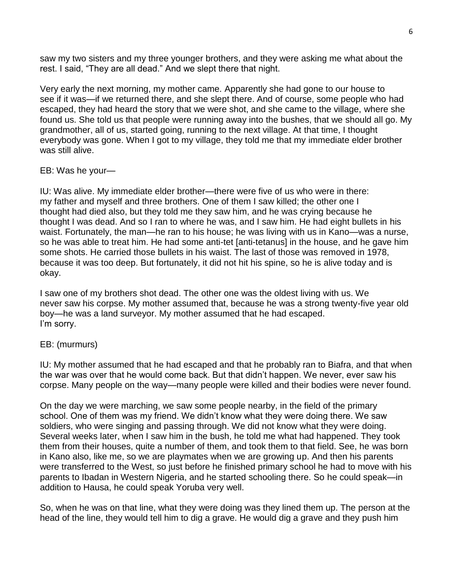saw my two sisters and my three younger brothers, and they were asking me what about the rest. I said, "They are all dead." And we slept there that night.

Very early the next morning, my mother came. Apparently she had gone to our house to see if it was—if we returned there, and she slept there. And of course, some people who had escaped, they had heard the story that we were shot, and she came to the village, where she found us. She told us that people were running away into the bushes, that we should all go. My grandmother, all of us, started going, running to the next village. At that time, I thought everybody was gone. When I got to my village, they told me that my immediate elder brother was still alive.

## EB: Was he your—

IU: Was alive. My immediate elder brother—there were five of us who were in there: my father and myself and three brothers. One of them I saw killed; the other one I thought had died also, but they told me they saw him, and he was crying because he thought I was dead. And so I ran to where he was, and I saw him. He had eight bullets in his waist. Fortunately, the man—he ran to his house; he was living with us in Kano—was a nurse, so he was able to treat him. He had some anti-tet [anti-tetanus] in the house, and he gave him some shots. He carried those bullets in his waist. The last of those was removed in 1978, because it was too deep. But fortunately, it did not hit his spine, so he is alive today and is okay.

I saw one of my brothers shot dead. The other one was the oldest living with us. We never saw his corpse. My mother assumed that, because he was a strong twenty-five year old boy—he was a land surveyor. My mother assumed that he had escaped. I'm sorry.

## EB: (murmurs)

IU: My mother assumed that he had escaped and that he probably ran to Biafra, and that when the war was over that he would come back. But that didn't happen. We never, ever saw his corpse. Many people on the way—many people were killed and their bodies were never found.

On the day we were marching, we saw some people nearby, in the field of the primary school. One of them was my friend. We didn't know what they were doing there. We saw soldiers, who were singing and passing through. We did not know what they were doing. Several weeks later, when I saw him in the bush, he told me what had happened. They took them from their houses, quite a number of them, and took them to that field. See, he was born in Kano also, like me, so we are playmates when we are growing up. And then his parents were transferred to the West, so just before he finished primary school he had to move with his parents to Ibadan in Western Nigeria, and he started schooling there. So he could speak—in addition to Hausa, he could speak Yoruba very well.

So, when he was on that line, what they were doing was they lined them up. The person at the head of the line, they would tell him to dig a grave. He would dig a grave and they push him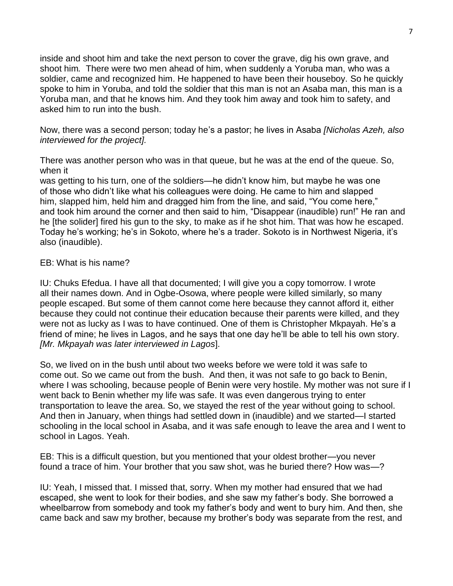inside and shoot him and take the next person to cover the grave, dig his own grave, and shoot him*.* There were two men ahead of him, when suddenly a Yoruba man, who was a soldier, came and recognized him. He happened to have been their houseboy. So he quickly spoke to him in Yoruba, and told the soldier that this man is not an Asaba man, this man is a Yoruba man, and that he knows him. And they took him away and took him to safety, and asked him to run into the bush.

Now, there was a second person; today he's a pastor; he lives in Asaba *[Nicholas Azeh, also interviewed for the project].*

There was another person who was in that queue, but he was at the end of the queue. So, when it

was getting to his turn, one of the soldiers—he didn't know him, but maybe he was one of those who didn't like what his colleagues were doing. He came to him and slapped him, slapped him, held him and dragged him from the line, and said, "You come here," and took him around the corner and then said to him, "Disappear (inaudible) run!" He ran and he [the solider] fired his gun to the sky, to make as if he shot him. That was how he escaped. Today he's working; he's in Sokoto, where he's a trader. Sokoto is in Northwest Nigeria, it's also (inaudible).

## EB: What is his name?

IU: Chuks Efedua. I have all that documented; I will give you a copy tomorrow. I wrote all their names down. And in Ogbe-Osowa, where people were killed similarly, so many people escaped. But some of them cannot come here because they cannot afford it, either because they could not continue their education because their parents were killed, and they were not as lucky as I was to have continued. One of them is Christopher Mkpayah. He's a friend of mine; he lives in Lagos, and he says that one day he'll be able to tell his own story. *[Mr. Mkpayah was later interviewed in Lagos*].

So, we lived on in the bush until about two weeks before we were told it was safe to come out. So we came out from the bush. And then, it was not safe to go back to Benin, where I was schooling, because people of Benin were very hostile. My mother was not sure if I went back to Benin whether my life was safe. It was even dangerous trying to enter transportation to leave the area. So, we stayed the rest of the year without going to school. And then in January, when things had settled down in (inaudible) and we started—I started schooling in the local school in Asaba, and it was safe enough to leave the area and I went to school in Lagos. Yeah.

EB: This is a difficult question, but you mentioned that your oldest brother—you never found a trace of him. Your brother that you saw shot, was he buried there? How was—?

IU: Yeah, I missed that. I missed that, sorry. When my mother had ensured that we had escaped, she went to look for their bodies, and she saw my father's body. She borrowed a wheelbarrow from somebody and took my father's body and went to bury him. And then, she came back and saw my brother, because my brother's body was separate from the rest, and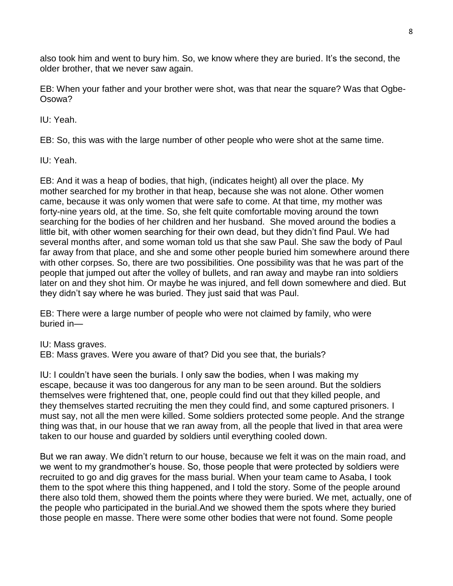also took him and went to bury him. So, we know where they are buried. It's the second, the older brother, that we never saw again.

EB: When your father and your brother were shot, was that near the square? Was that Ogbe-Osowa?

IU: Yeah.

EB: So, this was with the large number of other people who were shot at the same time.

IU: Yeah.

EB: And it was a heap of bodies, that high, (indicates height) all over the place. My mother searched for my brother in that heap, because she was not alone. Other women came, because it was only women that were safe to come. At that time, my mother was forty-nine years old, at the time. So, she felt quite comfortable moving around the town searching for the bodies of her children and her husband. She moved around the bodies a little bit, with other women searching for their own dead, but they didn't find Paul. We had several months after, and some woman told us that she saw Paul. She saw the body of Paul far away from that place, and she and some other people buried him somewhere around there with other corpses. So, there are two possibilities. One possibility was that he was part of the people that jumped out after the volley of bullets, and ran away and maybe ran into soldiers later on and they shot him. Or maybe he was injured, and fell down somewhere and died. But they didn't say where he was buried. They just said that was Paul.

EB: There were a large number of people who were not claimed by family, who were buried in—

IU: Mass graves.

EB: Mass graves. Were you aware of that? Did you see that, the burials?

IU: I couldn't have seen the burials. I only saw the bodies, when I was making my escape, because it was too dangerous for any man to be seen around. But the soldiers themselves were frightened that, one, people could find out that they killed people, and they themselves started recruiting the men they could find, and some captured prisoners. I must say, not all the men were killed. Some soldiers protected some people. And the strange thing was that, in our house that we ran away from, all the people that lived in that area were taken to our house and guarded by soldiers until everything cooled down.

But we ran away. We didn't return to our house, because we felt it was on the main road, and we went to my grandmother's house. So, those people that were protected by soldiers were recruited to go and dig graves for the mass burial. When your team came to Asaba, I took them to the spot where this thing happened, and I told the story. Some of the people around there also told them, showed them the points where they were buried. We met, actually, one of the people who participated in the burial.And we showed them the spots where they buried those people en masse. There were some other bodies that were not found. Some people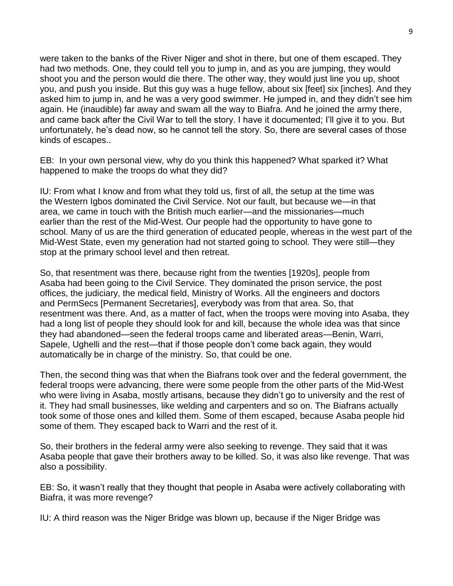were taken to the banks of the River Niger and shot in there, but one of them escaped. They had two methods. One, they could tell you to jump in, and as you are jumping, they would shoot you and the person would die there. The other way, they would just line you up, shoot you, and push you inside. But this guy was a huge fellow, about six [feet] six [inches]. And they asked him to jump in, and he was a very good swimmer. He jumped in, and they didn't see him again. He (inaudible) far away and swam all the way to Biafra. And he joined the army there, and came back after the Civil War to tell the story. I have it documented; I'll give it to you. But unfortunately, he's dead now, so he cannot tell the story. So, there are several cases of those kinds of escapes..

EB: In your own personal view, why do you think this happened? What sparked it? What happened to make the troops do what they did?

IU: From what I know and from what they told us, first of all, the setup at the time was the Western Igbos dominated the Civil Service. Not our fault, but because we—in that area, we came in touch with the British much earlier—and the missionaries—much earlier than the rest of the Mid-West. Our people had the opportunity to have gone to school. Many of us are the third generation of educated people, whereas in the west part of the Mid-West State, even my generation had not started going to school. They were still—they stop at the primary school level and then retreat.

So, that resentment was there, because right from the twenties [1920s], people from Asaba had been going to the Civil Service. They dominated the prison service, the post offices, the judiciary, the medical field, Ministry of Works. All the engineers and doctors and PermSecs [Permanent Secretaries], everybody was from that area. So, that resentment was there. And, as a matter of fact, when the troops were moving into Asaba, they had a long list of people they should look for and kill, because the whole idea was that since they had abandoned—seen the federal troops came and liberated areas—Benin, Warri, Sapele, Ughelli and the rest—that if those people don't come back again, they would automatically be in charge of the ministry. So, that could be one.

Then, the second thing was that when the Biafrans took over and the federal government, the federal troops were advancing, there were some people from the other parts of the Mid-West who were living in Asaba, mostly artisans, because they didn't go to university and the rest of it. They had small businesses, like welding and carpenters and so on. The Biafrans actually took some of those ones and killed them. Some of them escaped, because Asaba people hid some of them. They escaped back to Warri and the rest of it.

So, their brothers in the federal army were also seeking to revenge. They said that it was Asaba people that gave their brothers away to be killed. So, it was also like revenge. That was also a possibility.

EB: So, it wasn't really that they thought that people in Asaba were actively collaborating with Biafra, it was more revenge?

IU: A third reason was the Niger Bridge was blown up, because if the Niger Bridge was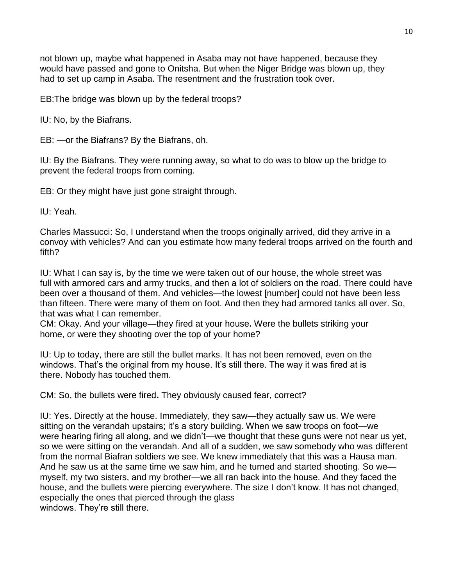not blown up, maybe what happened in Asaba may not have happened, because they would have passed and gone to Onitsha. But when the Niger Bridge was blown up, they had to set up camp in Asaba. The resentment and the frustration took over.

EB:The bridge was blown up by the federal troops?

IU: No, by the Biafrans.

EB: —or the Biafrans? By the Biafrans, oh.

IU: By the Biafrans. They were running away, so what to do was to blow up the bridge to prevent the federal troops from coming.

EB: Or they might have just gone straight through.

IU: Yeah.

Charles Massucci: So, I understand when the troops originally arrived, did they arrive in a convoy with vehicles? And can you estimate how many federal troops arrived on the fourth and fifth?

IU: What I can say is, by the time we were taken out of our house, the whole street was full with armored cars and army trucks, and then a lot of soldiers on the road. There could have been over a thousand of them. And vehicles—the lowest [number] could not have been less than fifteen. There were many of them on foot. And then they had armored tanks all over. So, that was what I can remember.

CM: Okay. And your village—they fired at your house**.** Were the bullets striking your home, or were they shooting over the top of your home?

IU: Up to today, there are still the bullet marks. It has not been removed, even on the windows. That's the original from my house. It's still there. The way it was fired at is there. Nobody has touched them.

CM: So, the bullets were fired**.** They obviously caused fear, correct?

IU: Yes. Directly at the house. Immediately, they saw—they actually saw us. We were sitting on the verandah upstairs; it's a story building. When we saw troops on foot—we were hearing firing all along, and we didn't—we thought that these guns were not near us yet, so we were sitting on the verandah. And all of a sudden, we saw somebody who was different from the normal Biafran soldiers we see. We knew immediately that this was a Hausa man. And he saw us at the same time we saw him, and he turned and started shooting. So we myself, my two sisters, and my brother—we all ran back into the house. And they faced the house, and the bullets were piercing everywhere. The size I don't know. It has not changed, especially the ones that pierced through the glass windows. They're still there.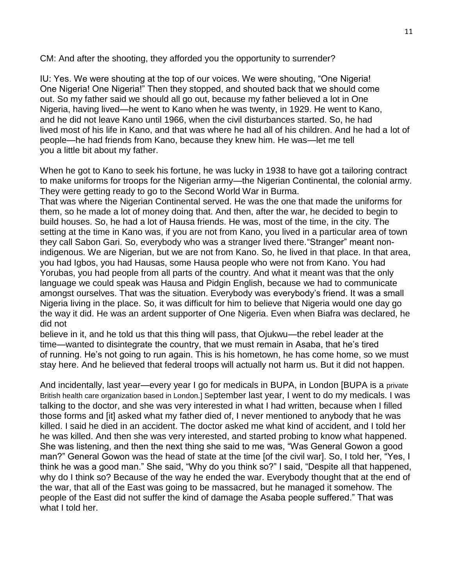CM: And after the shooting, they afforded you the opportunity to surrender?

IU: Yes. We were shouting at the top of our voices. We were shouting, "One Nigeria! One Nigeria! One Nigeria!" Then they stopped, and shouted back that we should come out. So my father said we should all go out, because my father believed a lot in One Nigeria, having lived—he went to Kano when he was twenty, in 1929. He went to Kano, and he did not leave Kano until 1966, when the civil disturbances started. So, he had lived most of his life in Kano, and that was where he had all of his children. And he had a lot of people—he had friends from Kano, because they knew him. He was—let me tell you a little bit about my father.

When he got to Kano to seek his fortune, he was lucky in 1938 to have got a tailoring contract to make uniforms for troops for the Nigerian army—the Nigerian Continental, the colonial army. They were getting ready to go to the Second World War in Burma.

That was where the Nigerian Continental served. He was the one that made the uniforms for them, so he made a lot of money doing that. And then, after the war, he decided to begin to build houses. So, he had a lot of Hausa friends. He was, most of the time, in the city. The setting at the time in Kano was, if you are not from Kano, you lived in a particular area of town they call Sabon Gari. So, everybody who was a stranger lived there."Stranger" meant nonindigenous. We are Nigerian, but we are not from Kano. So, he lived in that place. In that area, you had Igbos, you had Hausas, some Hausa people who were not from Kano. You had Yorubas, you had people from all parts of the country. And what it meant was that the only language we could speak was Hausa and Pidgin English, because we had to communicate amongst ourselves. That was the situation. Everybody was everybody's friend. It was a small Nigeria living in the place. So, it was difficult for him to believe that Nigeria would one day go the way it did. He was an ardent supporter of One Nigeria. Even when Biafra was declared, he did not

believe in it, and he told us that this thing will pass, that Ojukwu—the rebel leader at the time—wanted to disintegrate the country, that we must remain in Asaba, that he's tired of running. He's not going to run again. This is his hometown, he has come home, so we must stay here. And he believed that federal troops will actually not harm us. But it did not happen.

And incidentally, last year—every year I go for medicals in BUPA, in London [BUPA is a private British health care organization based in London.] September last year, I went to do my medicals. I was talking to the doctor, and she was very interested in what I had written, because when I filled those forms and [it] asked what my father died of. I never mentioned to anybody that he was killed. I said he died in an accident. The doctor asked me what kind of accident, and I told her he was killed. And then she was very interested, and started probing to know what happened. She was listening, and then the next thing she said to me was, "Was General Gowon a good man?" General Gowon was the head of state at the time [of the civil war]. So, I told her, "Yes, I think he was a good man." She said, "Why do you think so?" I said, "Despite all that happened, why do I think so? Because of the way he ended the war. Everybody thought that at the end of the war, that all of the East was going to be massacred, but he managed it somehow. The people of the East did not suffer the kind of damage the Asaba people suffered." That was what I told her.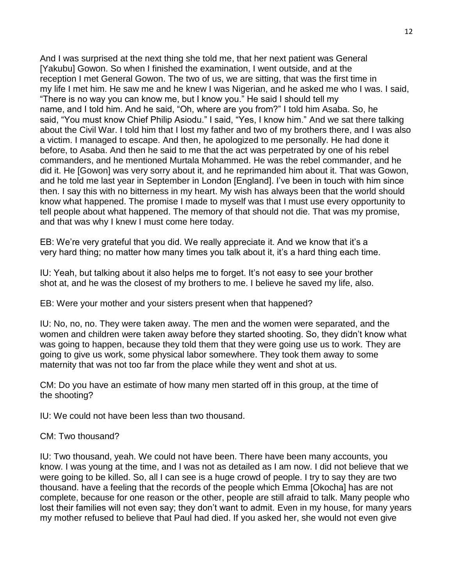And I was surprised at the next thing she told me, that her next patient was General [Yakubu] Gowon. So when I finished the examination, I went outside, and at the reception I met General Gowon. The two of us, we are sitting, that was the first time in my life I met him. He saw me and he knew I was Nigerian, and he asked me who I was. I said, "There is no way you can know me, but I know you." He said I should tell my name, and I told him. And he said, "Oh, where are you from?" I told him Asaba. So, he said, "You must know Chief Philip Asiodu." I said, "Yes, I know him." And we sat there talking about the Civil War. I told him that I lost my father and two of my brothers there, and I was also a victim. I managed to escape. And then, he apologized to me personally. He had done it before, to Asaba. And then he said to me that the act was perpetrated by one of his rebel commanders, and he mentioned Murtala Mohammed. He was the rebel commander, and he did it. He [Gowon] was very sorry about it, and he reprimanded him about it. That was Gowon, and he told me last year in September in London [England]. I've been in touch with him since then. I say this with no bitterness in my heart. My wish has always been that the world should know what happened. The promise I made to myself was that I must use every opportunity to tell people about what happened. The memory of that should not die. That was my promise, and that was why I knew I must come here today.

EB: We're very grateful that you did. We really appreciate it. And we know that it's a very hard thing; no matter how many times you talk about it, it's a hard thing each time.

IU: Yeah, but talking about it also helps me to forget. It's not easy to see your brother shot at, and he was the closest of my brothers to me. I believe he saved my life, also.

EB: Were your mother and your sisters present when that happened?

IU: No, no, no. They were taken away. The men and the women were separated, and the women and children were taken away before they started shooting. So, they didn't know what was going to happen, because they told them that they were going use us to work. They are going to give us work, some physical labor somewhere. They took them away to some maternity that was not too far from the place while they went and shot at us.

CM: Do you have an estimate of how many men started off in this group, at the time of the shooting?

IU: We could not have been less than two thousand.

#### CM: Two thousand?

IU: Two thousand, yeah. We could not have been. There have been many accounts, you know. I was young at the time, and I was not as detailed as I am now. I did not believe that we were going to be killed. So, all I can see is a huge crowd of people. I try to say they are two thousand. have a feeling that the records of the people which Emma [Okocha] has are not complete, because for one reason or the other, people are still afraid to talk. Many people who lost their families will not even say; they don't want to admit. Even in my house, for many years my mother refused to believe that Paul had died. If you asked her, she would not even give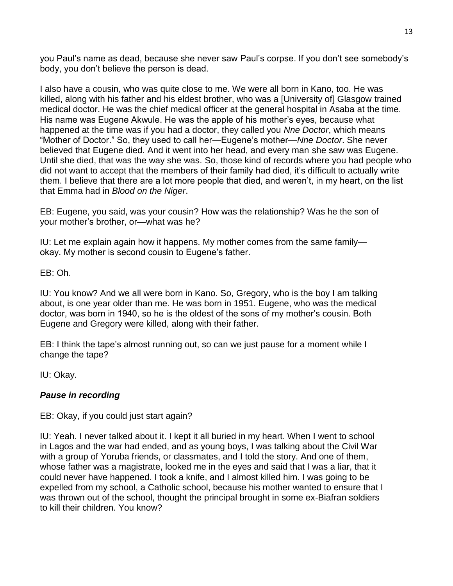you Paul's name as dead, because she never saw Paul's corpse. If you don't see somebody's body, you don't believe the person is dead.

I also have a cousin, who was quite close to me. We were all born in Kano, too. He was killed, along with his father and his eldest brother, who was a [University of] Glasgow trained medical doctor. He was the chief medical officer at the general hospital in Asaba at the time. His name was Eugene Akwule. He was the apple of his mother's eyes, because what happened at the time was if you had a doctor, they called you *Nne Doctor*, which means "Mother of Doctor." So, they used to call her—Eugene's mother—*Nne Doctor*. She never believed that Eugene died. And it went into her head, and every man she saw was Eugene. Until she died, that was the way she was. So, those kind of records where you had people who did not want to accept that the members of their family had died, it's difficult to actually write them. I believe that there are a lot more people that died, and weren't, in my heart, on the list that Emma had in *Blood on the Niger*.

EB: Eugene, you said, was your cousin? How was the relationship? Was he the son of your mother's brother, or—what was he?

IU: Let me explain again how it happens. My mother comes from the same family okay. My mother is second cousin to Eugene's father.

EB: Oh.

IU: You know? And we all were born in Kano. So, Gregory, who is the boy I am talking about, is one year older than me. He was born in 1951. Eugene, who was the medical doctor, was born in 1940, so he is the oldest of the sons of my mother's cousin. Both Eugene and Gregory were killed, along with their father.

EB: I think the tape's almost running out, so can we just pause for a moment while I change the tape?

IU: Okay.

## *Pause in recording*

EB: Okay, if you could just start again?

IU: Yeah. I never talked about it. I kept it all buried in my heart. When I went to school in Lagos and the war had ended, and as young boys, I was talking about the Civil War with a group of Yoruba friends, or classmates, and I told the story. And one of them, whose father was a magistrate, looked me in the eyes and said that I was a liar, that it could never have happened. I took a knife, and I almost killed him. I was going to be expelled from my school, a Catholic school, because his mother wanted to ensure that I was thrown out of the school, thought the principal brought in some ex-Biafran soldiers to kill their children. You know?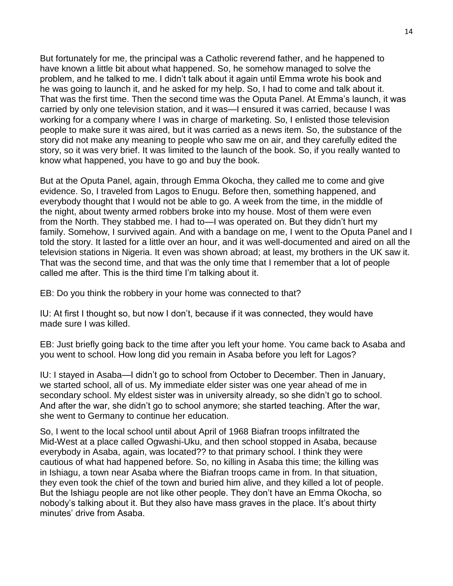But fortunately for me, the principal was a Catholic reverend father, and he happened to have known a little bit about what happened. So, he somehow managed to solve the problem, and he talked to me. I didn't talk about it again until Emma wrote his book and he was going to launch it, and he asked for my help. So, I had to come and talk about it. That was the first time. Then the second time was the Oputa Panel. At Emma's launch, it was carried by only one television station, and it was—I ensured it was carried, because I was working for a company where I was in charge of marketing. So, I enlisted those television people to make sure it was aired, but it was carried as a news item. So, the substance of the story did not make any meaning to people who saw me on air, and they carefully edited the story, so it was very brief. It was limited to the launch of the book. So, if you really wanted to know what happened, you have to go and buy the book.

But at the Oputa Panel, again, through Emma Okocha, they called me to come and give evidence. So, I traveled from Lagos to Enugu. Before then, something happened, and everybody thought that I would not be able to go. A week from the time, in the middle of the night, about twenty armed robbers broke into my house. Most of them were even from the North. They stabbed me. I had to—I was operated on. But they didn't hurt my family. Somehow, I survived again. And with a bandage on me, I went to the Oputa Panel and I told the story. It lasted for a little over an hour, and it was well-documented and aired on all the television stations in Nigeria. It even was shown abroad; at least, my brothers in the UK saw it. That was the second time, and that was the only time that I remember that a lot of people called me after. This is the third time I'm talking about it.

EB: Do you think the robbery in your home was connected to that?

IU: At first I thought so, but now I don't, because if it was connected, they would have made sure I was killed.

EB: Just briefly going back to the time after you left your home. You came back to Asaba and you went to school. How long did you remain in Asaba before you left for Lagos?

IU: I stayed in Asaba—I didn't go to school from October to December. Then in January, we started school, all of us. My immediate elder sister was one year ahead of me in secondary school. My eldest sister was in university already, so she didn't go to school. And after the war, she didn't go to school anymore; she started teaching. After the war, she went to Germany to continue her education.

So, I went to the local school until about April of 1968 Biafran troops infiltrated the Mid-West at a place called Ogwashi-Uku, and then school stopped in Asaba, because everybody in Asaba, again, was located?? to that primary school. I think they were cautious of what had happened before. So, no killing in Asaba this time; the killing was in Ishiagu, a town near Asaba where the Biafran troops came in from. In that situation, they even took the chief of the town and buried him alive, and they killed a lot of people. But the Ishiagu people are not like other people. They don't have an Emma Okocha, so nobody's talking about it. But they also have mass graves in the place. It's about thirty minutes' drive from Asaba.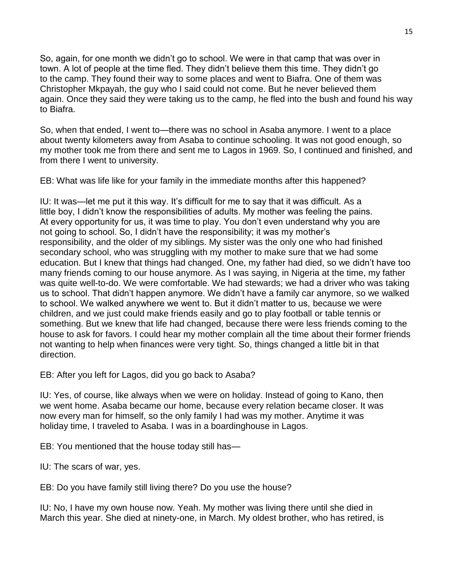So, again, for one month we didn't go to school. We were in that camp that was over in town. A lot of people at the time fled. They didn't believe them this time. They didn't go to the camp. They found their way to some places and went to Biafra. One of them was Christopher Mkpayah, the guy who I said could not come. But he never believed them again. Once they said they were taking us to the camp, he fled into the bush and found his way to Biafra.

So, when that ended, I went to—there was no school in Asaba anymore. I went to a place about twenty kilometers away from Asaba to continue schooling. It was not good enough, so my mother took me from there and sent me to Lagos in 1969. So, I continued and finished, and from there I went to university.

EB: What was life like for your family in the immediate months after this happened?

IU: It was—let me put it this way. It's difficult for me to say that it was difficult. As a little boy, I didn't know the responsibilities of adults. My mother was feeling the pains. At every opportunity for us, it was time to play. You don't even understand why you are not going to school. So, I didn't have the responsibility; it was my mother's responsibility, and the older of my siblings. My sister was the only one who had finished secondary school, who was struggling with my mother to make sure that we had some education. But I knew that things had changed. One, my father had died, so we didn't have too many friends coming to our house anymore. As I was saying, in Nigeria at the time, my father was quite well-to-do. We were comfortable. We had stewards; we had a driver who was taking us to school. That didn't happen anymore. We didn't have a family car anymore, so we walked to school. We walked anywhere we went to. But it didn't matter to us, because we were children, and we just could make friends easily and go to play football or table tennis or something. But we knew that life had changed, because there were less friends coming to the house to ask for favors. I could hear my mother complain all the time about their former friends not wanting to help when finances were very tight. So, things changed a little bit in that direction.

EB: After you left for Lagos, did you go back to Asaba?

IU: Yes, of course, like always when we were on holiday. Instead of going to Kano, then we went home. Asaba became our home, because every relation became closer. It was now every man for himself, so the only family I had was my mother. Anytime it was holiday time, I traveled to Asaba. I was in a boardinghouse in Lagos.

EB: You mentioned that the house today still has—

IU: The scars of war, yes.

EB: Do you have family still living there? Do you use the house?

IU: No, I have my own house now. Yeah. My mother was living there until she died in March this year. She died at ninety-one, in March. My oldest brother, who has retired, is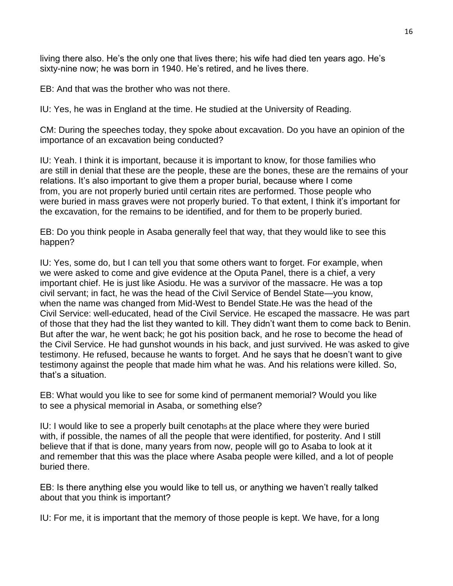living there also. He's the only one that lives there; his wife had died ten years ago. He's sixty-nine now; he was born in 1940. He's retired, and he lives there.

EB: And that was the brother who was not there.

IU: Yes, he was in England at the time. He studied at the University of Reading.

CM: During the speeches today, they spoke about excavation. Do you have an opinion of the importance of an excavation being conducted?

IU: Yeah. I think it is important, because it is important to know, for those families who are still in denial that these are the people, these are the bones, these are the remains of your relations. It's also important to give them a proper burial, because where I come from, you are not properly buried until certain rites are performed. Those people who were buried in mass graves were not properly buried. To that extent, I think it's important for the excavation, for the remains to be identified, and for them to be properly buried.

EB: Do you think people in Asaba generally feel that way, that they would like to see this happen?

IU: Yes, some do, but I can tell you that some others want to forget. For example, when we were asked to come and give evidence at the Oputa Panel, there is a chief, a very important chief. He is just like Asiodu. He was a survivor of the massacre. He was a top civil servant; in fact, he was the head of the Civil Service of Bendel State—you know, when the name was changed from Mid-West to Bendel State.He was the head of the Civil Service: well-educated, head of the Civil Service. He escaped the massacre. He was part of those that they had the list they wanted to kill. They didn't want them to come back to Benin. But after the war, he went back; he got his position back, and he rose to become the head of the Civil Service. He had gunshot wounds in his back, and just survived. He was asked to give testimony. He refused, because he wants to forget. And he says that he doesn't want to give testimony against the people that made him what he was. And his relations were killed. So, that's a situation.

EB: What would you like to see for some kind of permanent memorial? Would you like to see a physical memorial in Asaba, or something else?

IU: I would like to see a properly built cenotaphs at the place where they were buried with, if possible, the names of all the people that were identified, for posterity. And I still believe that if that is done, many years from now, people will go to Asaba to look at it and remember that this was the place where Asaba people were killed, and a lot of people buried there.

EB: Is there anything else you would like to tell us, or anything we haven't really talked about that you think is important?

IU: For me, it is important that the memory of those people is kept. We have, for a long